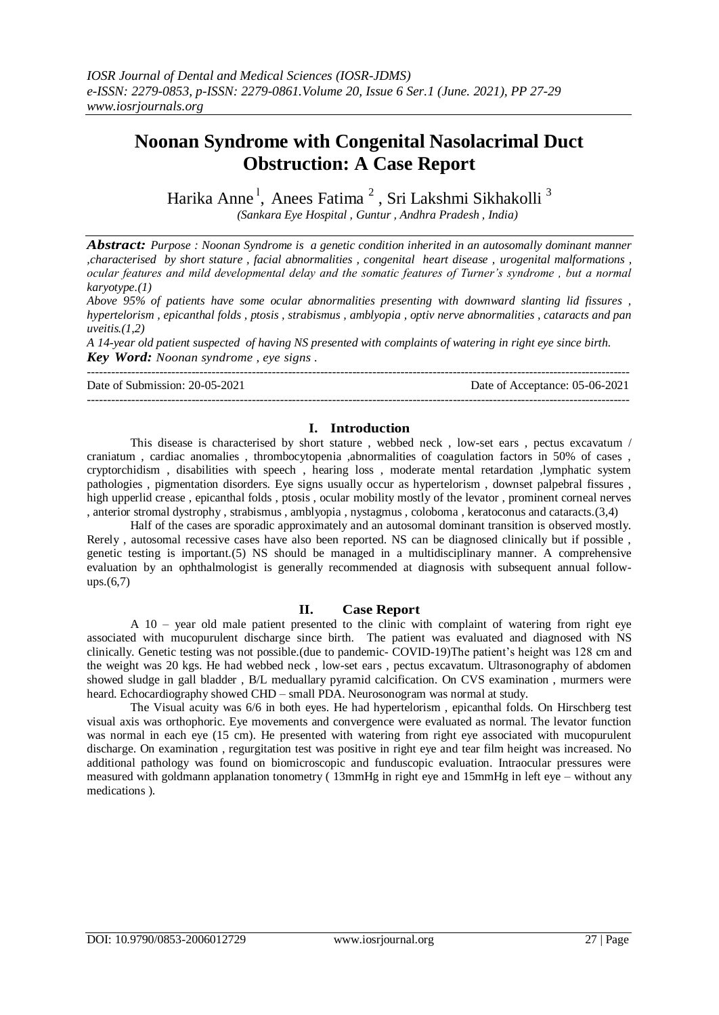# **Noonan Syndrome with Congenital Nasolacrimal Duct Obstruction: A Case Report**

Harika Anne<sup>1</sup>, Anees Fatima<sup>2</sup>, Sri Lakshmi Sikhakolli<sup>3</sup>  *(Sankara Eye Hospital , Guntur , Andhra Pradesh , India)*

*Abstract: Purpose : Noonan Syndrome is a genetic condition inherited in an autosomally dominant manner ,characterised by short stature , facial abnormalities , congenital heart disease , urogenital malformations , ocular features and mild developmental delay and the somatic features of Turner's syndrome , but a normal karyotype.(1)*

*Above 95% of patients have some ocular abnormalities presenting with downward slanting lid fissures , hypertelorism , epicanthal folds , ptosis , strabismus , amblyopia , optiv nerve abnormalities , cataracts and pan uveitis.(1,2)*

*A 14-year old patient suspected of having NS presented with complaints of watering in right eye since birth. Key Word: Noonan syndrome , eye signs .*

Date of Submission: 20-05-2021 Date of Acceptance: 05-06-2021

---------------------------------------------------------------------------------------------------------------------------------------

### **I. Introduction**

---------------------------------------------------------------------------------------------------------------------------------------

This disease is characterised by short stature , webbed neck , low-set ears , pectus excavatum / craniatum , cardiac anomalies , thrombocytopenia ,abnormalities of coagulation factors in 50% of cases , cryptorchidism , disabilities with speech , hearing loss , moderate mental retardation ,lymphatic system pathologies , pigmentation disorders. Eye signs usually occur as hypertelorism , downset palpebral fissures , high upperlid crease , epicanthal folds , ptosis , ocular mobility mostly of the levator , prominent corneal nerves , anterior stromal dystrophy , strabismus , amblyopia , nystagmus , coloboma , keratoconus and cataracts.(3,4)

Half of the cases are sporadic approximately and an autosomal dominant transition is observed mostly. Rerely , autosomal recessive cases have also been reported. NS can be diagnosed clinically but if possible , genetic testing is important.(5) NS should be managed in a multidisciplinary manner. A comprehensive evaluation by an ophthalmologist is generally recommended at diagnosis with subsequent annual followups.(6,7)

#### **II. Case Report**

A 10 – year old male patient presented to the clinic with complaint of watering from right eye associated with mucopurulent discharge since birth. The patient was evaluated and diagnosed with NS clinically. Genetic testing was not possible.(due to pandemic- COVID-19)The patient's height was 128 cm and the weight was 20 kgs. He had webbed neck , low-set ears , pectus excavatum. Ultrasonography of abdomen showed sludge in gall bladder , B/L meduallary pyramid calcification. On CVS examination , murmers were heard. Echocardiography showed CHD – small PDA. Neurosonogram was normal at study.

The Visual acuity was 6/6 in both eyes. He had hypertelorism , epicanthal folds. On Hirschberg test visual axis was orthophoric. Eye movements and convergence were evaluated as normal. The levator function was normal in each eye (15 cm). He presented with watering from right eye associated with mucopurulent discharge. On examination , regurgitation test was positive in right eye and tear film height was increased. No additional pathology was found on biomicroscopic and funduscopic evaluation. Intraocular pressures were measured with goldmann applanation tonometry ( 13mmHg in right eye and 15mmHg in left eye – without any medications ).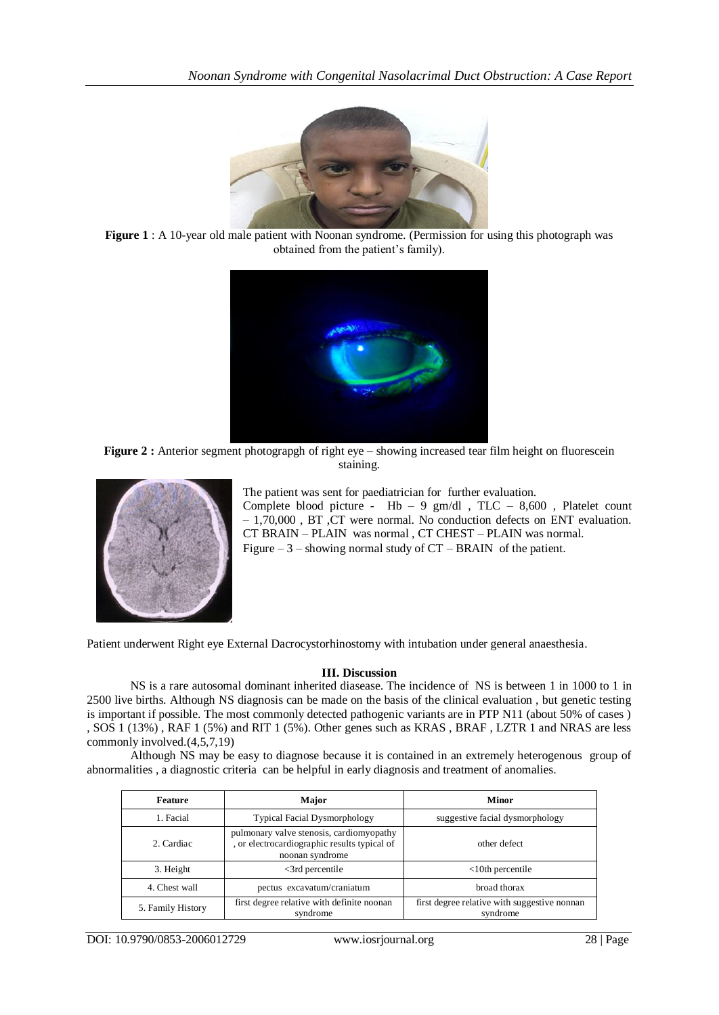

**Figure 1** : A 10-year old male patient with Noonan syndrome. (Permission for using this photograph was obtained from the patient's family).



Figure 2 : Anterior segment photograpgh of right eye – showing increased tear film height on fluorescein staining.



The patient was sent for paediatrician for further evaluation. Complete blood picture -  $Hb - 9$  gm/dl, TLC - 8,600, Platelet count – 1,70,000 , BT ,CT were normal. No conduction defects on ENT evaluation. CT BRAIN – PLAIN was normal , CT CHEST – PLAIN was normal. Figure  $-3$  – showing normal study of  $CT - BRAIN$  of the patient.

Patient underwent Right eye External Dacrocystorhinostomy with intubation under general anaesthesia.

### **III. Discussion**

NS is a rare autosomal dominant inherited diasease. The incidence of NS is between 1 in 1000 to 1 in 2500 live births. Although NS diagnosis can be made on the basis of the clinical evaluation , but genetic testing is important if possible. The most commonly detected pathogenic variants are in PTP N11 (about 50% of cases ) , SOS 1 (13%) , RAF 1 (5%) and RIT 1 (5%). Other genes such as KRAS , BRAF , LZTR 1 and NRAS are less commonly involved.(4,5,7,19)

Although NS may be easy to diagnose because it is contained in an extremely heterogenous group of abnormalities , a diagnostic criteria can be helpful in early diagnosis and treatment of anomalies.

| <b>Feature</b>    | Major                                                                                                       | <b>Minor</b>                                             |  |
|-------------------|-------------------------------------------------------------------------------------------------------------|----------------------------------------------------------|--|
| 1. Facial         | <b>Typical Facial Dysmorphology</b>                                                                         | suggestive facial dysmorphology                          |  |
| 2. Cardiac        | pulmonary valve stenosis, cardiomyopathy<br>, or electrocardiographic results typical of<br>noonan syndrome | other defect                                             |  |
| 3. Height         | $\leq$ 3rd percentile                                                                                       | $<10$ th percentile                                      |  |
| 4. Chest wall     | pectus excavatum/craniatum                                                                                  | broad thorax                                             |  |
| 5. Family History | first degree relative with definite noonan<br>syndrome                                                      | first degree relative with suggestive nonnan<br>syndrome |  |